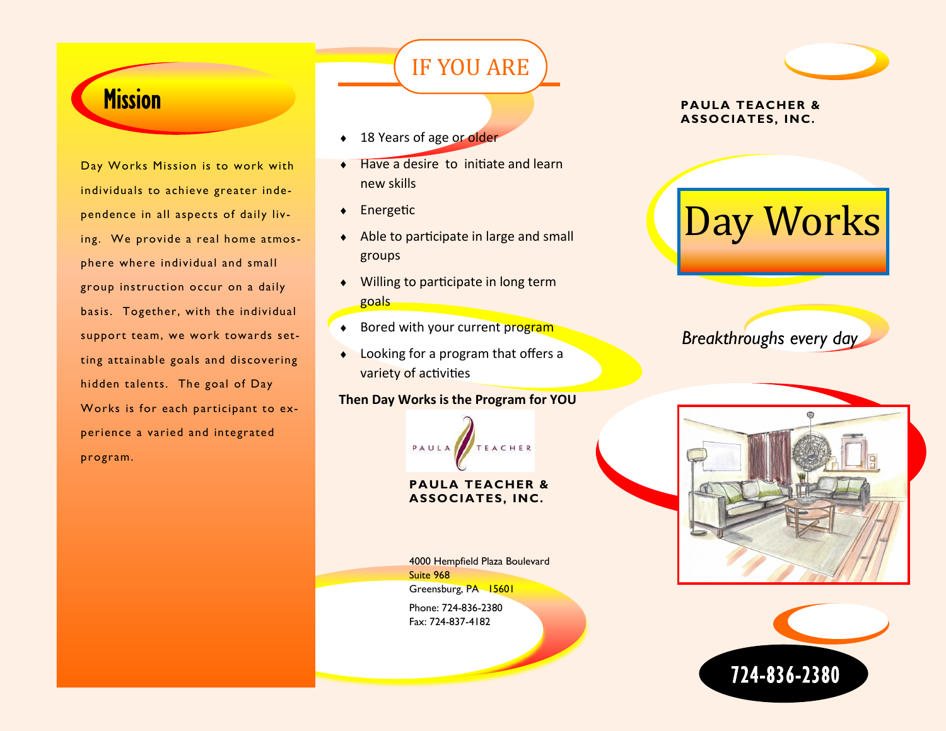# **Mission**

Day Works Mission is to work with individuals to achieve greater independence in all aspects of daily living. We provide a real home atmosphere where individual and small group instruction occur on a daily basis. Together, with the individual support team, we work towards setting attainable goals and discovering hidden talents. The goal of Day Works is for each participant to experience a varied and integrated program.

## • 18 Years of age or older

◆ Have a desire to initiate and learn new skills

IF YOU ARE

- ◆ Energetic
- Able to participate in large and small groups
- ◆ Willing to participate in long term goals
- ♦ Bored with your current program
- ◆ Looking for a program that offers a variety of activities

## **Then Day Works is the Program for YOU**



#### **PAULA TEACHER & ASSOCIATES, INC.**

4000 Hempfield Plaza Boulevard Suite 968 Greensburg, PA 15601 Phone: 724-836-2380

Fax: 724-837-4182

# **PAULA TEACHER &**

## **ASSOCIATES, INC.**



*Breakthroughs every day*